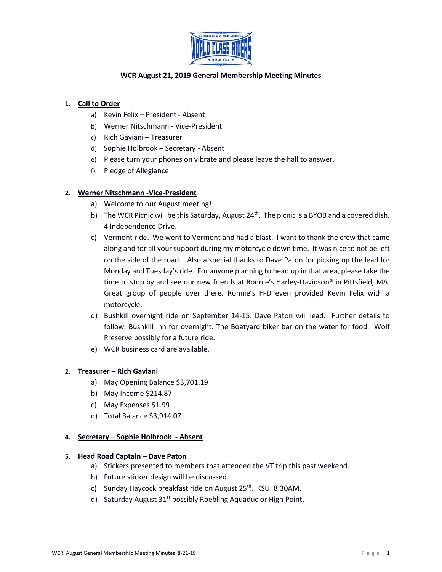

# **WCR August 21, 2019 General Membership Meeting Minutes**

## **1. Call to Order**

- a) Kevin Felix President Absent
- b) Werner Nitschmann Vice-President
- c) Rich Gaviani Treasurer
- d) Sophie Holbrook Secretary Absent
- e) Please turn your phones on vibrate and please leave the hall to answer.
- f) Pledge of Allegiance

## **2. Werner Nitschmann -Vice-President**

- a) Welcome to our August meeting!
- b) The WCR Picnic will be this Saturday, August  $24<sup>th</sup>$ . The picnic is a BYOB and a covered dish. 4 Independence Drive.
- c) Vermont ride. We went to Vermont and had a blast. I want to thank the crew that came along and for all your support during my motorcycle down time. It was nice to not be left on the side of the road. Also a special thanks to Dave Paton for picking up the lead for Monday and Tuesday's ride. For anyone planning to head up in that area, please take the time to stop by and see our new friends at Ronnie's Harley-Davidson® in Pittsfield, MA. Great group of people over there. Ronnie's H-D even provided Kevin Felix with a motorcycle.
- d) Bushkill overnight ride on September 14-15. Dave Paton will lead. Further details to follow. Bushkill Inn for overnight. The Boatyard biker bar on the water for food. Wolf Preserve possibly for a future ride.
- e) WCR business card are available.

## **2. Treasurer – Rich Gaviani**

- a) May Opening Balance \$3,701.19
- b) May Income \$214.87
- c) May Expenses \$1.99
- d) Total Balance \$3,914.07

## **4. Secretary – Sophie Holbrook - Absent**

#### **5. Head Road Captain – Dave Paton**

- a) Stickers presented to members that attended the VT trip this past weekend.
- b) Future sticker design will be discussed.
- c) Sunday Haycock breakfast ride on August 25<sup>th</sup>. KSU: 8:30AM.
- d) Saturday August 31<sup>st</sup> possibly Roebling Aquaduc or High Point.